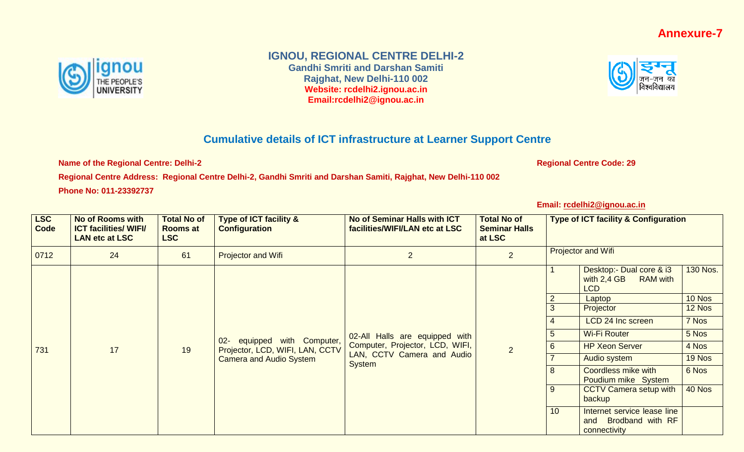## **Annexure-7**



## **IGNOU, REGIONAL CENTRE DELHI-2**

**Gandhi Smriti and Darshan Samiti Rajghat, New Delhi-110 002 Website: rcdelhi2.ignou.ac.in Email:rcdelhi2@ignou.ac.in**



## **Cumulative details of ICT infrastructure at Learner Support Centre**

**Name of the Regional Centre: Delhi-2 Regional Centre Code: 29** 

**Regional Centre Address: Regional Centre Delhi-2, Gandhi Smriti and Darshan Samiti, Rajghat, New Delhi-110 002 Phone No: 011-23392737**

**Email: [rcdelhi2@ignou.ac.in](mailto:rcdelhi2@ignou.ac.in)**

| <b>LSC</b><br>Code | <b>No of Rooms with</b><br><b>ICT facilities/ WIFI/</b><br><b>LAN etc at LSC</b> | <b>Total No of</b><br><b>Rooms at</b><br><b>LSC</b>                                                                                                               | Type of ICT facility &<br><b>Configuration</b> | No of Seminar Halls with ICT<br>facilities/WIFI/LAN etc at LSC | <b>Total No of</b><br><b>Seminar Halls</b><br>at LSC |                           | <b>Type of ICT facility &amp; Configuration</b>                            |          |
|--------------------|----------------------------------------------------------------------------------|-------------------------------------------------------------------------------------------------------------------------------------------------------------------|------------------------------------------------|----------------------------------------------------------------|------------------------------------------------------|---------------------------|----------------------------------------------------------------------------|----------|
| 0712               | 24                                                                               | 61                                                                                                                                                                | Projector and Wifi                             | $\overline{2}$                                                 | $\overline{2}$                                       | <b>Projector and Wifi</b> |                                                                            |          |
|                    |                                                                                  |                                                                                                                                                                   |                                                |                                                                |                                                      |                           | Desktop:- Dual core & i3<br>with $2,4$ GB<br><b>RAM</b> with<br><b>LCD</b> | 130 Nos. |
|                    |                                                                                  | 02-All Halls are equipped with<br>equipped with Computer,<br>$02 -$<br>Computer, Projector, LCD, WIFI,<br>$\overline{2}$<br>Projector, LCD, WIFI, LAN, CCTV<br>19 |                                                | $\overline{2}$                                                 | Laptop                                               | 10 Nos                    |                                                                            |          |
|                    | 17                                                                               |                                                                                                                                                                   |                                                |                                                                |                                                      | 3                         | Projector                                                                  | 12 Nos   |
|                    |                                                                                  |                                                                                                                                                                   |                                                |                                                                |                                                      | 4                         | LCD 24 Inc screen                                                          | 7 Nos    |
|                    |                                                                                  |                                                                                                                                                                   |                                                |                                                                |                                                      | 5                         | <b>Wi-Fi Router</b>                                                        | 5 Nos    |
| 731                |                                                                                  |                                                                                                                                                                   |                                                |                                                                |                                                      | $6\phantom{1}6$           | <b>HP Xeon Server</b>                                                      | 4 Nos    |
|                    |                                                                                  |                                                                                                                                                                   | <b>Camera and Audio System</b>                 | LAN, CCTV Camera and Audio<br><b>System</b>                    |                                                      |                           | Audio system                                                               | 19 Nos   |
|                    |                                                                                  |                                                                                                                                                                   |                                                |                                                                |                                                      | 8                         | Coordless mike with<br>Poudium mike System                                 | 6 Nos    |
|                    |                                                                                  |                                                                                                                                                                   |                                                |                                                                |                                                      | 9                         | <b>CCTV Camera setup with</b><br>backup                                    | 40 Nos   |
|                    |                                                                                  |                                                                                                                                                                   |                                                |                                                                |                                                      | 10                        | Internet service lease line<br>Brodband with RF<br>and<br>connectivity     |          |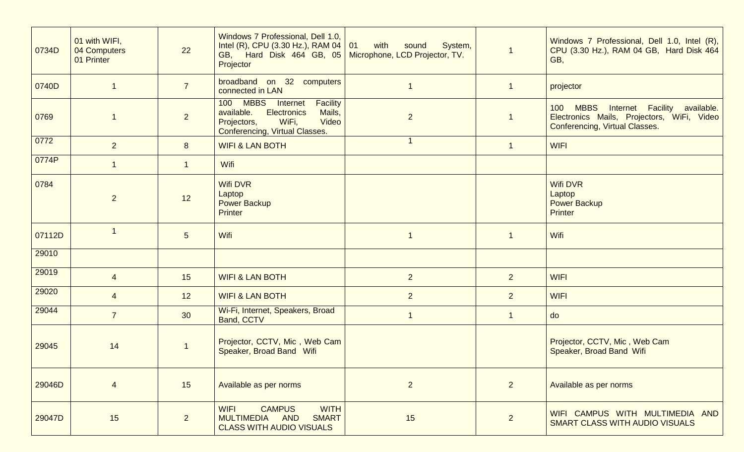| 0734D  | 01 with WIFI,<br>04 Computers<br>01 Printer | 22              | Windows 7 Professional, Dell 1.0,<br>Intel (R), CPU (3.30 Hz.), RAM 04   01<br>GB, Hard Disk 464 GB, 05   Microphone, LCD Projector, TV.<br>Projector                  | with<br>System,<br>sound | $\overline{1}$ | Windows 7 Professional, Dell 1.0, Intel (R),<br>CPU (3.30 Hz.), RAM 04 GB, Hard Disk 464<br>GB,                          |
|--------|---------------------------------------------|-----------------|------------------------------------------------------------------------------------------------------------------------------------------------------------------------|--------------------------|----------------|--------------------------------------------------------------------------------------------------------------------------|
| 0740D  |                                             | $\overline{7}$  | broadband on 32 computers<br>connected in LAN                                                                                                                          |                          |                | projector                                                                                                                |
| 0769   |                                             | $\overline{2}$  | 100 MBBS<br><b>Facility</b><br><b>Internet</b><br>available.<br><b>Electronics</b><br>Mails,<br>Video<br>WiFi,<br>Projectors,<br><b>Conferencing, Virtual Classes.</b> | $\overline{2}$           |                | MBBS Internet Facility available.<br>100<br>Electronics Mails, Projectors, WiFi, Video<br>Conferencing, Virtual Classes. |
| 0772   | 2 <sup>1</sup>                              | 8               | <b>WIFI &amp; LAN BOTH</b>                                                                                                                                             |                          | -1             | <b>WIFI</b>                                                                                                              |
| 0774P  |                                             | $\overline{1}$  | Wifi                                                                                                                                                                   |                          |                |                                                                                                                          |
| 0784   | $\overline{2}$                              | 12              | <b>Wifi DVR</b><br>Laptop<br><b>Power Backup</b><br><b>Printer</b>                                                                                                     |                          |                | <b>Wifi DVR</b><br>Laptop<br><b>Power Backup</b><br><b>Printer</b>                                                       |
| 07112D |                                             | $5\phantom{.0}$ | Wifi                                                                                                                                                                   | 1                        | $\mathbf{1}$   | Wifi                                                                                                                     |
| 29010  |                                             |                 |                                                                                                                                                                        |                          |                |                                                                                                                          |
| 29019  | $\overline{4}$                              | 15              | <b>WIFI &amp; LAN BOTH</b>                                                                                                                                             | $\overline{2}$           | 2 <sup>2</sup> | <b>WIFI</b>                                                                                                              |
| 29020  | $\overline{4}$                              | 12              | <b>WIFI &amp; LAN BOTH</b>                                                                                                                                             | 2 <sup>1</sup>           | 2 <sup>1</sup> | <b>WIFI</b>                                                                                                              |
| 29044  | $\overline{7}$                              | 30              | Wi-Fi, Internet, Speakers, Broad<br>Band, CCTV                                                                                                                         | $\mathbf 1$              | $\mathbf{1}$   | do                                                                                                                       |
| 29045  | 14                                          |                 | Projector, CCTV, Mic, Web Cam<br>Speaker, Broad Band Wifi                                                                                                              |                          |                | Projector, CCTV, Mic, Web Cam<br>Speaker, Broad Band Wifi                                                                |
| 29046D | $\overline{4}$                              | 15              | Available as per norms                                                                                                                                                 | $\overline{2}$           | 2 <sup>2</sup> | Available as per norms                                                                                                   |
| 29047D | 15                                          | $\overline{2}$  | <b>WIFI</b><br><b>CAMPUS</b><br><b>WITH</b><br>MULTIMEDIA AND<br><b>SMART</b><br><b>CLASS WITH AUDIO VISUALS</b>                                                       | 15                       | 2              | WIFI CAMPUS WITH MULTIMEDIA AND<br>SMART CLASS WITH AUDIO VISUALS                                                        |